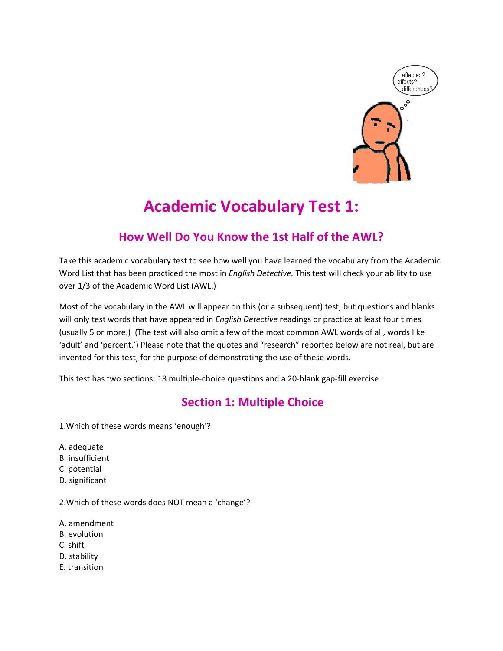

# Academic Vocabulary Test 1:

## How Well Do You Know the 1st Half of the AWL?

Take this academic vocabulary test to see how well you have learned the vocabulary from the Academic Word List that has been practiced the most in English Detective. This test will check your ability to use over 1/3 of the Academic Word List (AWL.)

Most of the vocabulary in the AWL will appear on this (or a subsequent) test, but questions and blanks will only test words that have appeared in English Detective readings or practice at least four times (usually 5 or more.) (The test will also omit a few of the most common AWL words of all, words like 'adult' and 'percent.') Please note that the quotes and "research" reported below are not real, but are invented for this test, for the purpose of demonstrating the use of these words.

This test has two sections: 18 multiple-choice questions and a 20-blank gap-fill exercise

## Section 1: Multiple Choice

1.Which of these words means 'enough'?

- A. adequate
- B. insufficient
- C. potential
- D. significant

2.Which of these words does NOT mean a 'change'?

- A. amendment
- B. evolution
- C. shift
- D. stability
- E. transition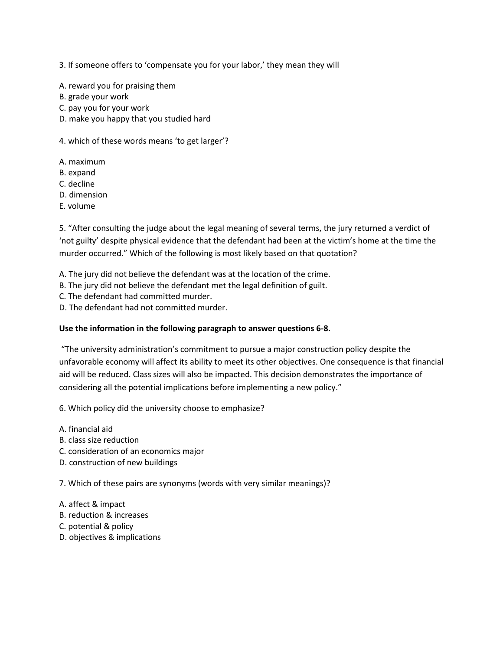3. If someone offers to 'compensate you for your labor,' they mean they will

A. reward you for praising them

- B. grade your work
- C. pay you for your work
- D. make you happy that you studied hard

4. which of these words means 'to get larger'?

- A. maximum
- B. expand
- C. decline
- D. dimension
- E. volume

5. "After consulting the judge about the legal meaning of several terms, the jury returned a verdict of 'not guilty' despite physical evidence that the defendant had been at the victim's home at the time the murder occurred." Which of the following is most likely based on that quotation?

- A. The jury did not believe the defendant was at the location of the crime.
- B. The jury did not believe the defendant met the legal definition of guilt.
- C. The defendant had committed murder.
- D. The defendant had not committed murder.

#### Use the information in the following paragraph to answer questions 6-8.

 "The university administration's commitment to pursue a major construction policy despite the unfavorable economy will affect its ability to meet its other objectives. One consequence is that financial aid will be reduced. Class sizes will also be impacted. This decision demonstrates the importance of considering all the potential implications before implementing a new policy."

6. Which policy did the university choose to emphasize?

- A. financial aid
- B. class size reduction
- C. consideration of an economics major
- D. construction of new buildings

7. Which of these pairs are synonyms (words with very similar meanings)?

- A. affect & impact
- B. reduction & increases
- C. potential & policy
- D. objectives & implications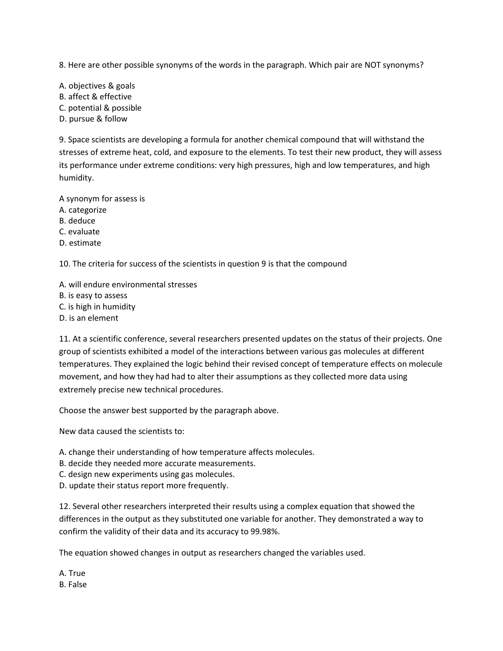8. Here are other possible synonyms of the words in the paragraph. Which pair are NOT synonyms?

A. objectives & goals B. affect & effective C. potential & possible D. pursue & follow

9. Space scientists are developing a formula for another chemical compound that will withstand the stresses of extreme heat, cold, and exposure to the elements. To test their new product, they will assess its performance under extreme conditions: very high pressures, high and low temperatures, and high humidity.

A synonym for assess is

- A. categorize
- B. deduce
- C. evaluate
- D. estimate

10. The criteria for success of the scientists in question 9 is that the compound

- A. will endure environmental stresses
- B. is easy to assess
- C. is high in humidity
- D. is an element

11. At a scientific conference, several researchers presented updates on the status of their projects. One group of scientists exhibited a model of the interactions between various gas molecules at different temperatures. They explained the logic behind their revised concept of temperature effects on molecule movement, and how they had had to alter their assumptions as they collected more data using extremely precise new technical procedures.

Choose the answer best supported by the paragraph above.

New data caused the scientists to:

- A. change their understanding of how temperature affects molecules.
- B. decide they needed more accurate measurements.
- C. design new experiments using gas molecules.
- D. update their status report more frequently.

12. Several other researchers interpreted their results using a complex equation that showed the differences in the output as they substituted one variable for another. They demonstrated a way to confirm the validity of their data and its accuracy to 99.98%.

The equation showed changes in output as researchers changed the variables used.

A. True B. False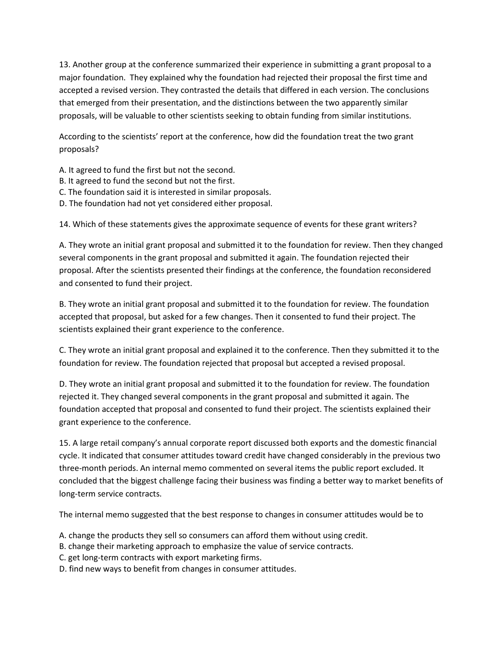13. Another group at the conference summarized their experience in submitting a grant proposal to a major foundation. They explained why the foundation had rejected their proposal the first time and accepted a revised version. They contrasted the details that differed in each version. The conclusions that emerged from their presentation, and the distinctions between the two apparently similar proposals, will be valuable to other scientists seeking to obtain funding from similar institutions.

According to the scientists' report at the conference, how did the foundation treat the two grant proposals?

- A. It agreed to fund the first but not the second.
- B. It agreed to fund the second but not the first.
- C. The foundation said it is interested in similar proposals.
- D. The foundation had not yet considered either proposal.

14. Which of these statements gives the approximate sequence of events for these grant writers?

A. They wrote an initial grant proposal and submitted it to the foundation for review. Then they changed several components in the grant proposal and submitted it again. The foundation rejected their proposal. After the scientists presented their findings at the conference, the foundation reconsidered and consented to fund their project.

B. They wrote an initial grant proposal and submitted it to the foundation for review. The foundation accepted that proposal, but asked for a few changes. Then it consented to fund their project. The scientists explained their grant experience to the conference.

C. They wrote an initial grant proposal and explained it to the conference. Then they submitted it to the foundation for review. The foundation rejected that proposal but accepted a revised proposal.

D. They wrote an initial grant proposal and submitted it to the foundation for review. The foundation rejected it. They changed several components in the grant proposal and submitted it again. The foundation accepted that proposal and consented to fund their project. The scientists explained their grant experience to the conference.

15. A large retail company's annual corporate report discussed both exports and the domestic financial cycle. It indicated that consumer attitudes toward credit have changed considerably in the previous two three-month periods. An internal memo commented on several items the public report excluded. It concluded that the biggest challenge facing their business was finding a better way to market benefits of long-term service contracts.

The internal memo suggested that the best response to changes in consumer attitudes would be to

- A. change the products they sell so consumers can afford them without using credit.
- B. change their marketing approach to emphasize the value of service contracts.
- C. get long-term contracts with export marketing firms.
- D. find new ways to benefit from changes in consumer attitudes.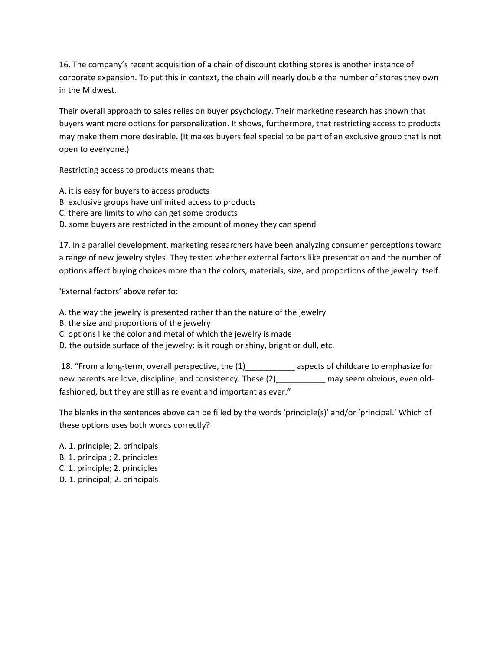16. The company's recent acquisition of a chain of discount clothing stores is another instance of corporate expansion. To put this in context, the chain will nearly double the number of stores they own in the Midwest.

Their overall approach to sales relies on buyer psychology. Their marketing research has shown that buyers want more options for personalization. It shows, furthermore, that restricting access to products may make them more desirable. (It makes buyers feel special to be part of an exclusive group that is not open to everyone.)

Restricting access to products means that:

- A. it is easy for buyers to access products
- B. exclusive groups have unlimited access to products
- C. there are limits to who can get some products
- D. some buyers are restricted in the amount of money they can spend

17. In a parallel development, marketing researchers have been analyzing consumer perceptions toward a range of new jewelry styles. They tested whether external factors like presentation and the number of options affect buying choices more than the colors, materials, size, and proportions of the jewelry itself.

'External factors' above refer to:

- A. the way the jewelry is presented rather than the nature of the jewelry
- B. the size and proportions of the jewelry
- C. options like the color and metal of which the jewelry is made
- D. the outside surface of the jewelry: is it rough or shiny, bright or dull, etc.

18. "From a long-term, overall perspective, the  $(1)$  \_\_\_\_\_\_\_\_\_\_\_\_\_\_ aspects of childcare to emphasize for new parents are love, discipline, and consistency. These (2) These may seem obvious, even oldfashioned, but they are still as relevant and important as ever."

The blanks in the sentences above can be filled by the words 'principle(s)' and/or 'principal.' Which of these options uses both words correctly?

- A. 1. principle; 2. principals
- B. 1. principal; 2. principles
- C. 1. principle; 2. principles
- D. 1. principal; 2. principals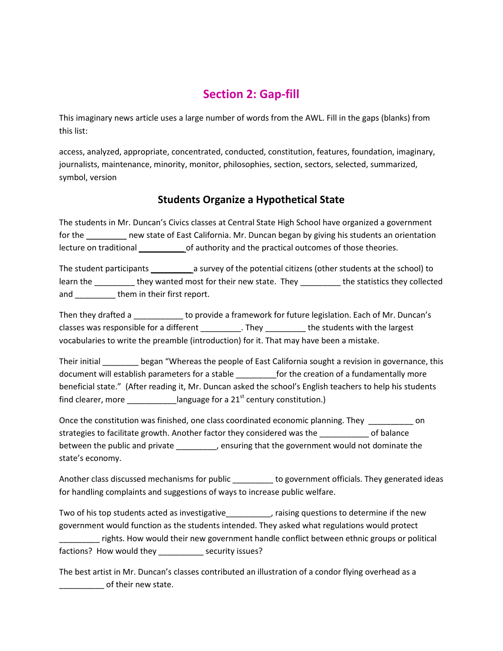# Section 2: Gap-fill

This imaginary news article uses a large number of words from the AWL. Fill in the gaps (blanks) from this list:

access, analyzed, appropriate, concentrated, conducted, constitution, features, foundation, imaginary, journalists, maintenance, minority, monitor, philosophies, section, sectors, selected, summarized, symbol, version

### Students Organize a Hypothetical State

The students in Mr. Duncan's Civics classes at Central State High School have organized a government for the \_\_\_\_\_\_\_\_\_ new state of East California. Mr. Duncan began by giving his students an orientation lecture on traditional **come of authority and the practical outcomes of those theories.** 

The student participants \_\_\_\_\_\_\_\_\_\_\_\_\_\_ a survey of the potential citizens (other students at the school) to learn the \_\_\_\_\_\_\_\_\_\_ they wanted most for their new state. They \_\_\_\_\_\_\_\_\_\_ the statistics they collected and \_\_\_\_\_\_\_\_\_\_\_ them in their first report.

Then they drafted a \_\_\_\_\_\_\_\_\_\_\_ to provide a framework for future legislation. Each of Mr. Duncan's classes was responsible for a different entity classes was responsible for a different entity. They entitled the students with the largest vocabularies to write the preamble (introduction) for it. That may have been a mistake.

Their initial \_\_\_\_\_\_\_\_ began "Whereas the people of East California sought a revision in governance, this document will establish parameters for a stable \_\_\_\_\_\_\_\_\_for the creation of a fundamentally more beneficial state." (After reading it, Mr. Duncan asked the school's English teachers to help his students find clearer, more \_\_\_\_\_\_\_\_\_\_\_\_language for a 21<sup>st</sup> century constitution.)

Once the constitution was finished, one class coordinated economic planning. They on strategies to facilitate growth. Another factor they considered was the \_\_\_\_\_\_\_\_\_\_\_ of balance between the public and private \_\_\_\_\_\_\_\_, ensuring that the government would not dominate the state's economy.

Another class discussed mechanisms for public \_\_\_\_\_\_\_\_\_ to government officials. They generated ideas for handling complaints and suggestions of ways to increase public welfare.

Two of his top students acted as investigative\_\_\_\_\_\_\_\_\_\_, raising questions to determine if the new government would function as the students intended. They asked what regulations would protect \_\_\_\_\_\_\_\_\_ rights. How would their new government handle conflict between ethnic groups or political factions? How would they \_\_\_\_\_\_\_\_\_\_ security issues?

The best artist in Mr. Duncan's classes contributed an illustration of a condor flying overhead as a of their new state.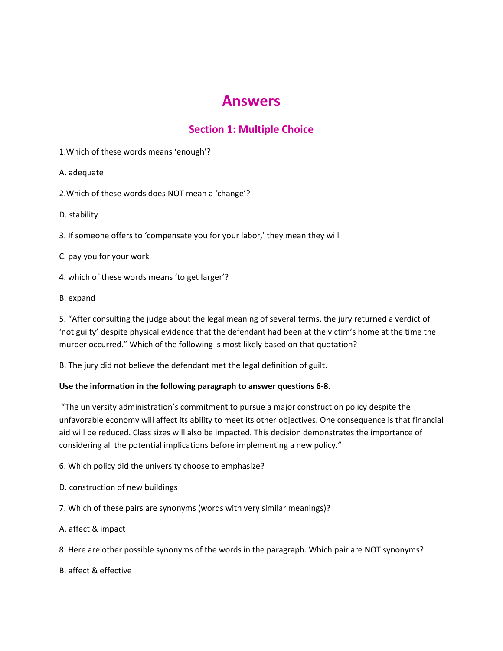# Answers

### Section 1: Multiple Choice

1.Which of these words means 'enough'?

A. adequate

2.Which of these words does NOT mean a 'change'?

D. stability

3. If someone offers to 'compensate you for your labor,' they mean they will

C. pay you for your work

4. which of these words means 'to get larger'?

B. expand

5. "After consulting the judge about the legal meaning of several terms, the jury returned a verdict of 'not guilty' despite physical evidence that the defendant had been at the victim's home at the time the murder occurred." Which of the following is most likely based on that quotation?

B. The jury did not believe the defendant met the legal definition of guilt.

#### Use the information in the following paragraph to answer questions 6-8.

 "The university administration's commitment to pursue a major construction policy despite the unfavorable economy will affect its ability to meet its other objectives. One consequence is that financial aid will be reduced. Class sizes will also be impacted. This decision demonstrates the importance of considering all the potential implications before implementing a new policy."

6. Which policy did the university choose to emphasize?

- D. construction of new buildings
- 7. Which of these pairs are synonyms (words with very similar meanings)?
- A. affect & impact
- 8. Here are other possible synonyms of the words in the paragraph. Which pair are NOT synonyms?

B. affect & effective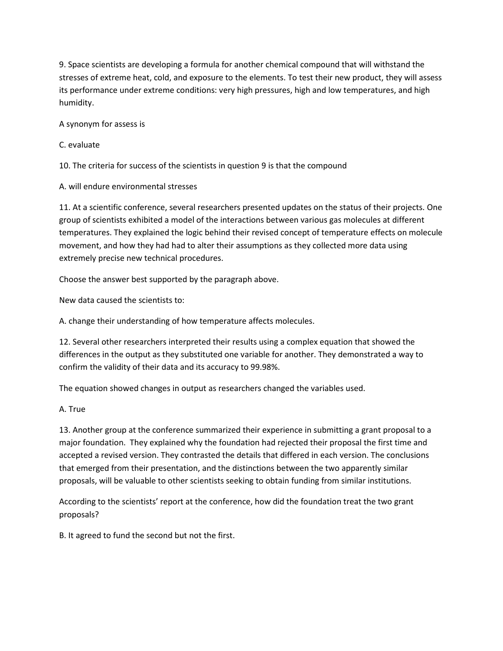9. Space scientists are developing a formula for another chemical compound that will withstand the stresses of extreme heat, cold, and exposure to the elements. To test their new product, they will assess its performance under extreme conditions: very high pressures, high and low temperatures, and high humidity.

A synonym for assess is

C. evaluate

10. The criteria for success of the scientists in question 9 is that the compound

A. will endure environmental stresses

11. At a scientific conference, several researchers presented updates on the status of their projects. One group of scientists exhibited a model of the interactions between various gas molecules at different temperatures. They explained the logic behind their revised concept of temperature effects on molecule movement, and how they had had to alter their assumptions as they collected more data using extremely precise new technical procedures.

Choose the answer best supported by the paragraph above.

New data caused the scientists to:

A. change their understanding of how temperature affects molecules.

12. Several other researchers interpreted their results using a complex equation that showed the differences in the output as they substituted one variable for another. They demonstrated a way to confirm the validity of their data and its accuracy to 99.98%.

The equation showed changes in output as researchers changed the variables used.

A. True

13. Another group at the conference summarized their experience in submitting a grant proposal to a major foundation. They explained why the foundation had rejected their proposal the first time and accepted a revised version. They contrasted the details that differed in each version. The conclusions that emerged from their presentation, and the distinctions between the two apparently similar proposals, will be valuable to other scientists seeking to obtain funding from similar institutions.

According to the scientists' report at the conference, how did the foundation treat the two grant proposals?

B. It agreed to fund the second but not the first.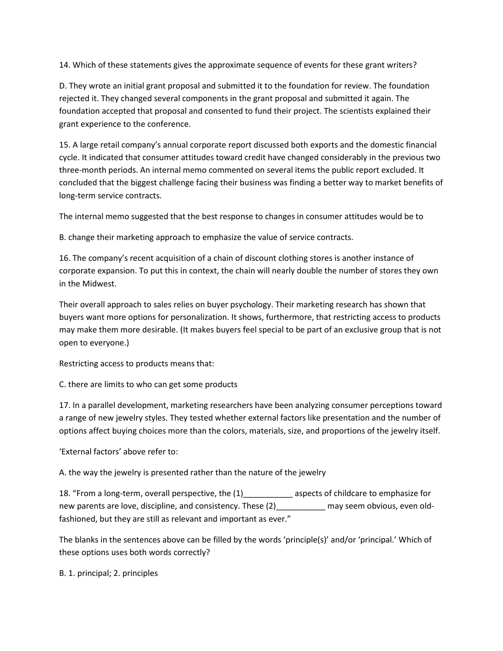14. Which of these statements gives the approximate sequence of events for these grant writers?

D. They wrote an initial grant proposal and submitted it to the foundation for review. The foundation rejected it. They changed several components in the grant proposal and submitted it again. The foundation accepted that proposal and consented to fund their project. The scientists explained their grant experience to the conference.

15. A large retail company's annual corporate report discussed both exports and the domestic financial cycle. It indicated that consumer attitudes toward credit have changed considerably in the previous two three-month periods. An internal memo commented on several items the public report excluded. It concluded that the biggest challenge facing their business was finding a better way to market benefits of long-term service contracts.

The internal memo suggested that the best response to changes in consumer attitudes would be to

B. change their marketing approach to emphasize the value of service contracts.

16. The company's recent acquisition of a chain of discount clothing stores is another instance of corporate expansion. To put this in context, the chain will nearly double the number of stores they own in the Midwest.

Their overall approach to sales relies on buyer psychology. Their marketing research has shown that buyers want more options for personalization. It shows, furthermore, that restricting access to products may make them more desirable. (It makes buyers feel special to be part of an exclusive group that is not open to everyone.)

Restricting access to products means that:

C. there are limits to who can get some products

17. In a parallel development, marketing researchers have been analyzing consumer perceptions toward a range of new jewelry styles. They tested whether external factors like presentation and the number of options affect buying choices more than the colors, materials, size, and proportions of the jewelry itself.

'External factors' above refer to:

A. the way the jewelry is presented rather than the nature of the jewelry

18. "From a long-term, overall perspective, the (1) \_\_\_\_\_\_\_\_\_\_\_\_ aspects of childcare to emphasize for new parents are love, discipline, and consistency. These  $(2)$  \_\_\_\_\_\_\_\_\_\_\_\_ may seem obvious, even oldfashioned, but they are still as relevant and important as ever."

The blanks in the sentences above can be filled by the words 'principle(s)' and/or 'principal.' Which of these options uses both words correctly?

B. 1. principal; 2. principles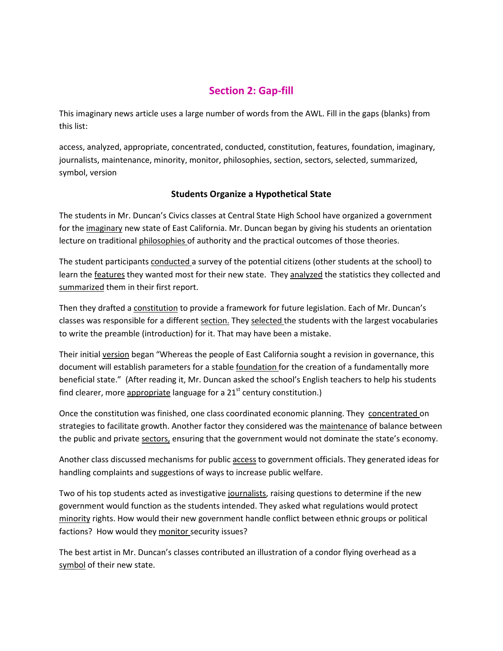#### Section 2: Gap-fill

This imaginary news article uses a large number of words from the AWL. Fill in the gaps (blanks) from this list:

access, analyzed, appropriate, concentrated, conducted, constitution, features, foundation, imaginary, journalists, maintenance, minority, monitor, philosophies, section, sectors, selected, summarized, symbol, version

#### Students Organize a Hypothetical State

The students in Mr. Duncan's Civics classes at Central State High School have organized a government for the *imaginary* new state of East California. Mr. Duncan began by giving his students an orientation lecture on traditional philosophies of authority and the practical outcomes of those theories.

The student participants conducted a survey of the potential citizens (other students at the school) to learn the **features** they wanted most for their new state. They analyzed the statistics they collected and summarized them in their first report.

Then they drafted a constitution to provide a framework for future legislation. Each of Mr. Duncan's classes was responsible for a different section. They selected the students with the largest vocabularies to write the preamble (introduction) for it. That may have been a mistake.

Their initial version began "Whereas the people of East California sought a revision in governance, this document will establish parameters for a stable foundation for the creation of a fundamentally more beneficial state." (After reading it, Mr. Duncan asked the school's English teachers to help his students find clearer, more appropriate language for a  $21<sup>st</sup>$  century constitution.)

Once the constitution was finished, one class coordinated economic planning. They concentrated on strategies to facilitate growth. Another factor they considered was the maintenance of balance between the public and private sectors, ensuring that the government would not dominate the state's economy.

Another class discussed mechanisms for public access to government officials. They generated ideas for handling complaints and suggestions of ways to increase public welfare.

Two of his top students acted as investigative journalists, raising questions to determine if the new government would function as the students intended. They asked what regulations would protect minority rights. How would their new government handle conflict between ethnic groups or political factions? How would they monitor security issues?

The best artist in Mr. Duncan's classes contributed an illustration of a condor flying overhead as a symbol of their new state.